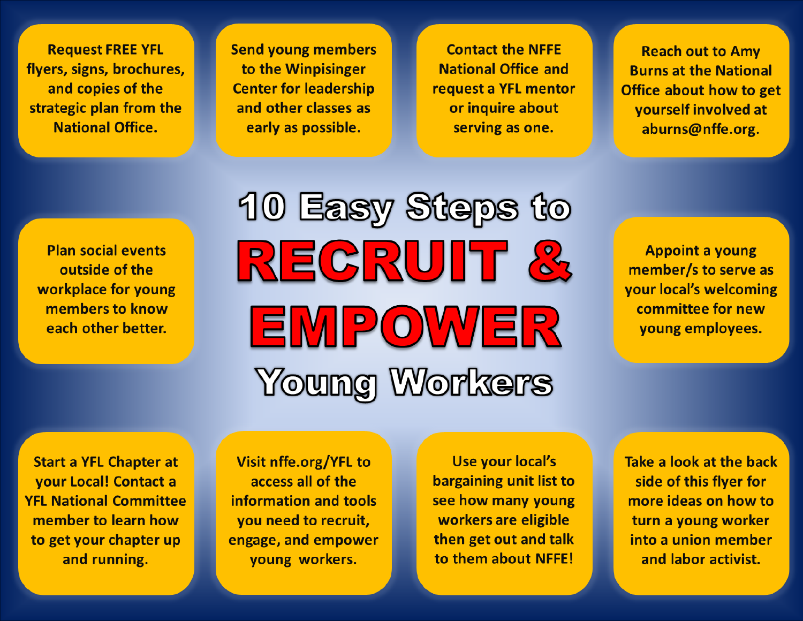**Request FREE YFL** flyers, signs, brochures, and copies of the strategic plan from the **National Office.** 

**Send young members** to the Winpisinger **Center for leadership** and other classes as early as possible.

**Contact the NFFE National Office and** request a YFL mentor or inquire about serving as one.

**Reach out to Amy Burns at the National** Office about how to get yourself involved at aburns@nffe.org.

**Plan social events** outside of the workplace for young members to know each other better.

10 Easy Steps to REGRUIT & EMPOWER Young Workers

**Appoint a young** member/s to serve as your local's welcoming committee for new voung employees.

**Start a YFL Chapter at** your Local! Contact a **YFL National Committee** member to learn how to get your chapter up and running.

Visit nffe.org/YFL to access all of the information and tools you need to recruit, engage, and empower young workers.

**Use your local's** bargaining unit list to see how many young workers are eligible then get out and talk to them about NFFE!

Take a look at the back side of this flyer for more ideas on how to turn a young worker into a union member and labor activist.